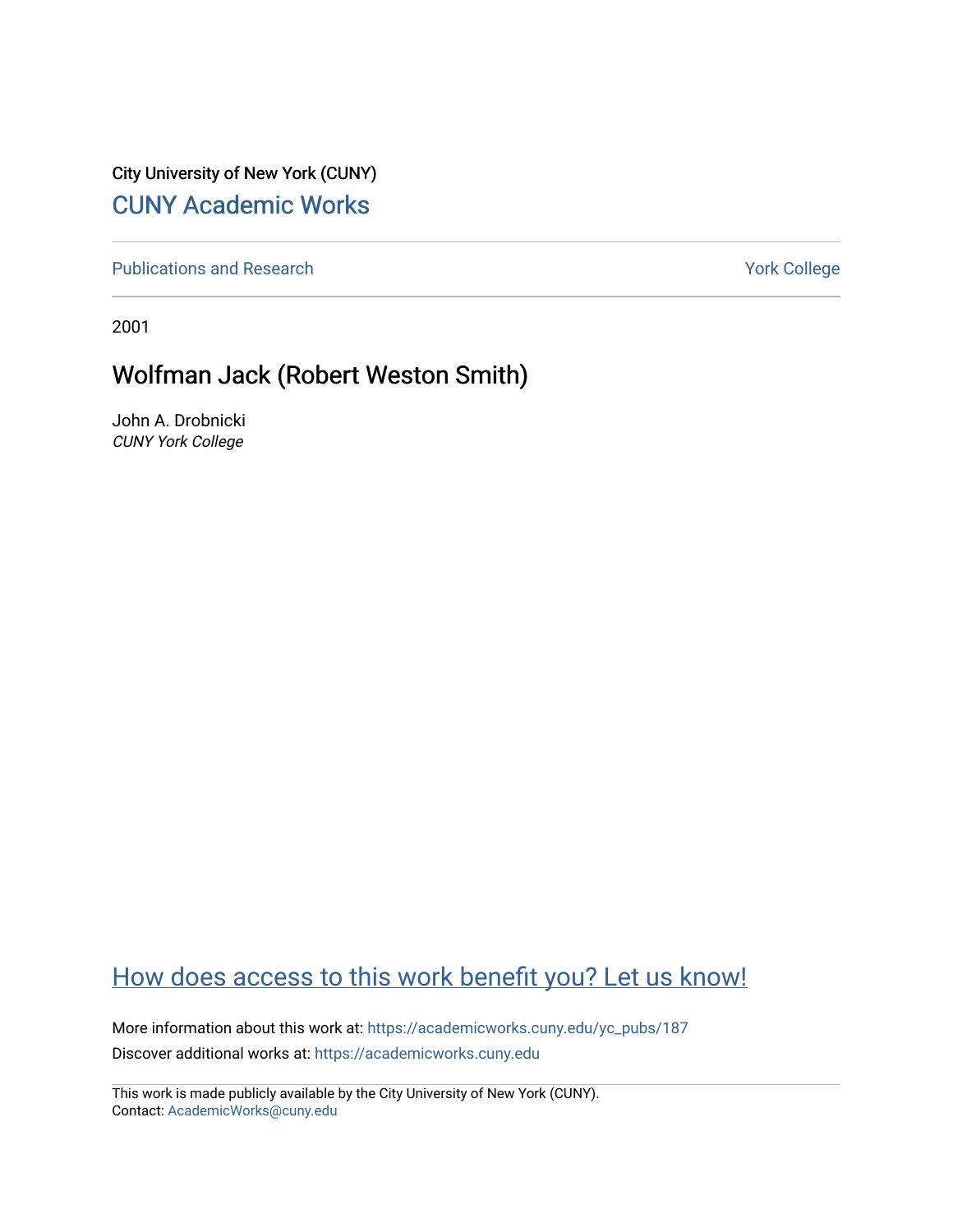City University of New York (CUNY) [CUNY Academic Works](https://academicworks.cuny.edu/) 

[Publications and Research](https://academicworks.cuny.edu/yc_pubs) Theorem 2012 Contract College Vork College

2001

## Wolfman Jack (Robert Weston Smith)

John A. Drobnicki CUNY York College

## [How does access to this work benefit you? Let us know!](http://ols.cuny.edu/academicworks/?ref=https://academicworks.cuny.edu/yc_pubs/187)

More information about this work at: [https://academicworks.cuny.edu/yc\\_pubs/187](https://academicworks.cuny.edu/yc_pubs/187) Discover additional works at: [https://academicworks.cuny.edu](https://academicworks.cuny.edu/?)

This work is made publicly available by the City University of New York (CUNY). Contact: [AcademicWorks@cuny.edu](mailto:AcademicWorks@cuny.edu)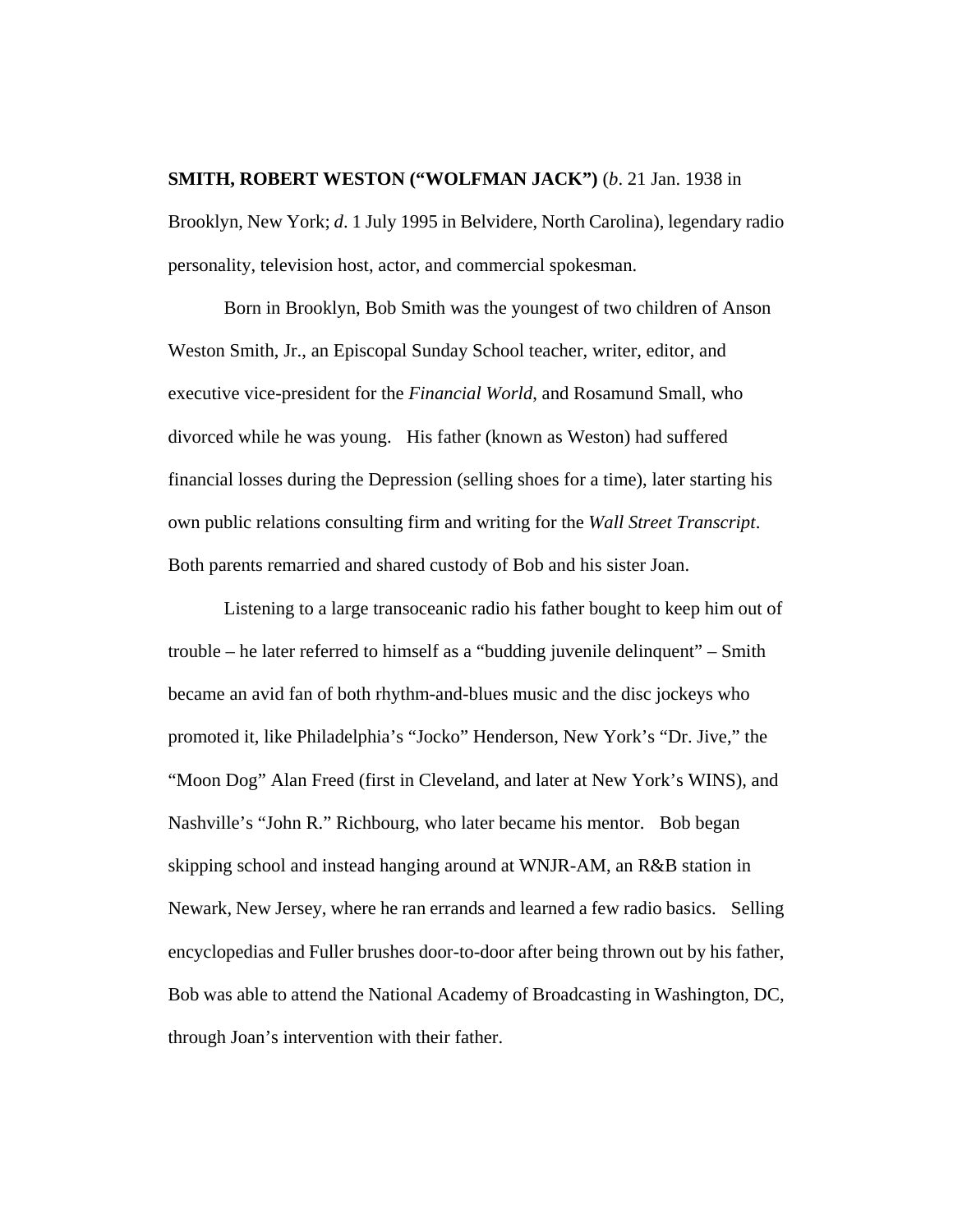## **SMITH, ROBERT WESTON ("WOLFMAN JACK")** (*b*. 21 Jan. 1938 in

Brooklyn, New York; *d*. 1 July 1995 in Belvidere, North Carolina), legendary radio personality, television host, actor, and commercial spokesman.

Born in Brooklyn, Bob Smith was the youngest of two children of Anson Weston Smith, Jr., an Episcopal Sunday School teacher, writer, editor, and executive vice-president for the *Financial World*, and Rosamund Small, who divorced while he was young. His father (known as Weston) had suffered financial losses during the Depression (selling shoes for a time), later starting his own public relations consulting firm and writing for the *Wall Street Transcript*. Both parents remarried and shared custody of Bob and his sister Joan.

Listening to a large transoceanic radio his father bought to keep him out of trouble – he later referred to himself as a "budding juvenile delinquent" – Smith became an avid fan of both rhythm-and-blues music and the disc jockeys who promoted it, like Philadelphia's "Jocko" Henderson, New York's "Dr. Jive," the "Moon Dog" Alan Freed (first in Cleveland, and later at New York's WINS), and Nashville's "John R." Richbourg, who later became his mentor. Bob began skipping school and instead hanging around at WNJR-AM, an R&B station in Newark, New Jersey, where he ran errands and learned a few radio basics. Selling encyclopedias and Fuller brushes door-to-door after being thrown out by his father, Bob was able to attend the National Academy of Broadcasting in Washington, DC, through Joan's intervention with their father.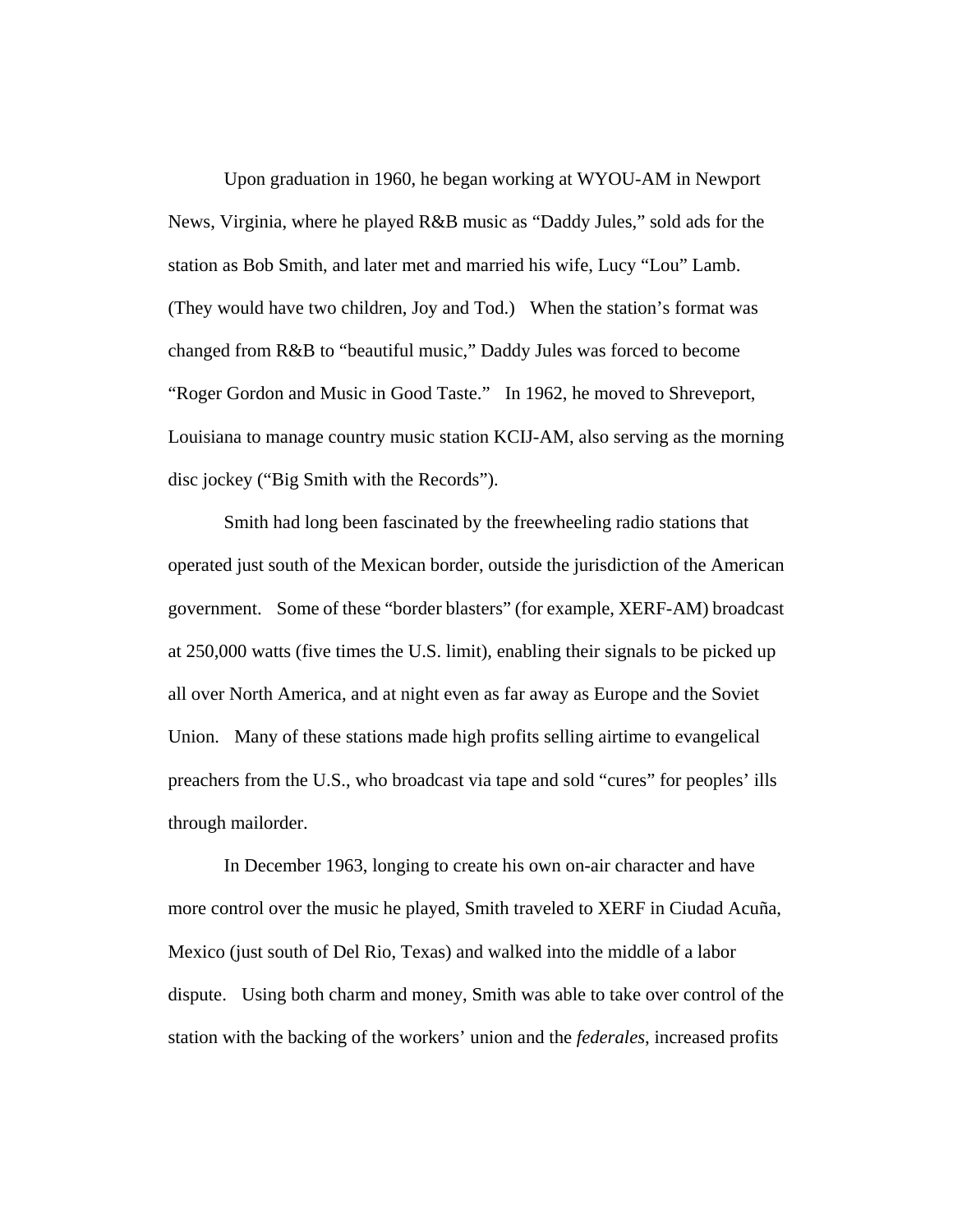Upon graduation in 1960, he began working at WYOU-AM in Newport News, Virginia, where he played R&B music as "Daddy Jules," sold ads for the station as Bob Smith, and later met and married his wife, Lucy "Lou" Lamb. (They would have two children, Joy and Tod.) When the station's format was changed from R&B to "beautiful music," Daddy Jules was forced to become "Roger Gordon and Music in Good Taste." In 1962, he moved to Shreveport, Louisiana to manage country music station KCIJ-AM, also serving as the morning disc jockey ("Big Smith with the Records").

Smith had long been fascinated by the freewheeling radio stations that operated just south of the Mexican border, outside the jurisdiction of the American government. Some of these "border blasters" (for example, XERF-AM) broadcast at 250,000 watts (five times the U.S. limit), enabling their signals to be picked up all over North America, and at night even as far away as Europe and the Soviet Union. Many of these stations made high profits selling airtime to evangelical preachers from the U.S., who broadcast via tape and sold "cures" for peoples' ills through mailorder.

In December 1963, longing to create his own on-air character and have more control over the music he played, Smith traveled to XERF in Ciudad Acuña, Mexico (just south of Del Rio, Texas) and walked into the middle of a labor dispute. Using both charm and money, Smith was able to take over control of the station with the backing of the workers' union and the *federales*, increased profits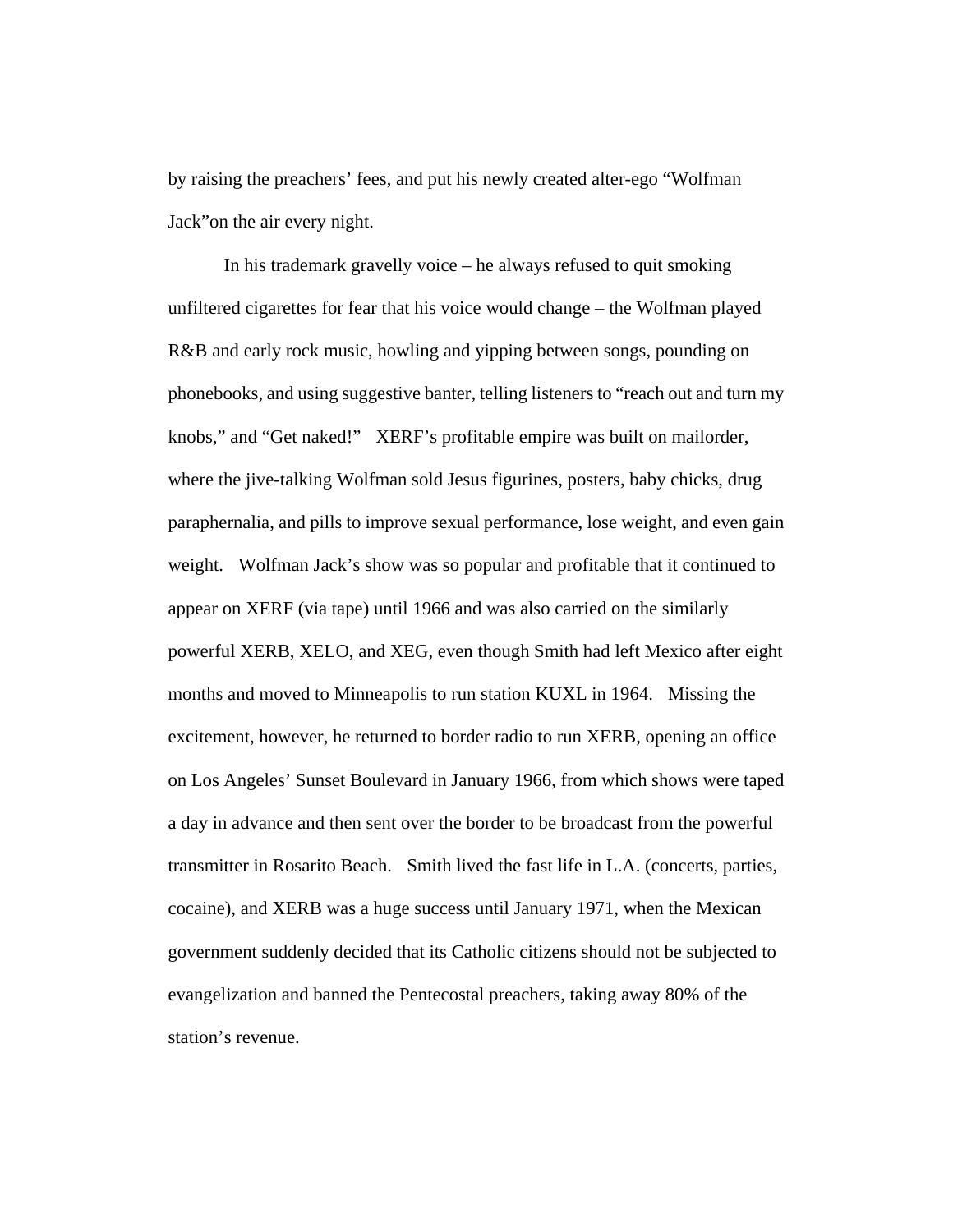by raising the preachers' fees, and put his newly created alter-ego "Wolfman Jack"on the air every night.

In his trademark gravelly voice – he always refused to quit smoking unfiltered cigarettes for fear that his voice would change – the Wolfman played R&B and early rock music, howling and yipping between songs, pounding on phonebooks, and using suggestive banter, telling listeners to "reach out and turn my knobs," and "Get naked!" XERF's profitable empire was built on mailorder, where the jive-talking Wolfman sold Jesus figurines, posters, baby chicks, drug paraphernalia, and pills to improve sexual performance, lose weight, and even gain weight. Wolfman Jack's show was so popular and profitable that it continued to appear on XERF (via tape) until 1966 and was also carried on the similarly powerful XERB, XELO, and XEG, even though Smith had left Mexico after eight months and moved to Minneapolis to run station KUXL in 1964. Missing the excitement, however, he returned to border radio to run XERB, opening an office on Los Angeles' Sunset Boulevard in January 1966, from which shows were taped a day in advance and then sent over the border to be broadcast from the powerful transmitter in Rosarito Beach. Smith lived the fast life in L.A. (concerts, parties, cocaine), and XERB was a huge success until January 1971, when the Mexican government suddenly decided that its Catholic citizens should not be subjected to evangelization and banned the Pentecostal preachers, taking away 80% of the station's revenue.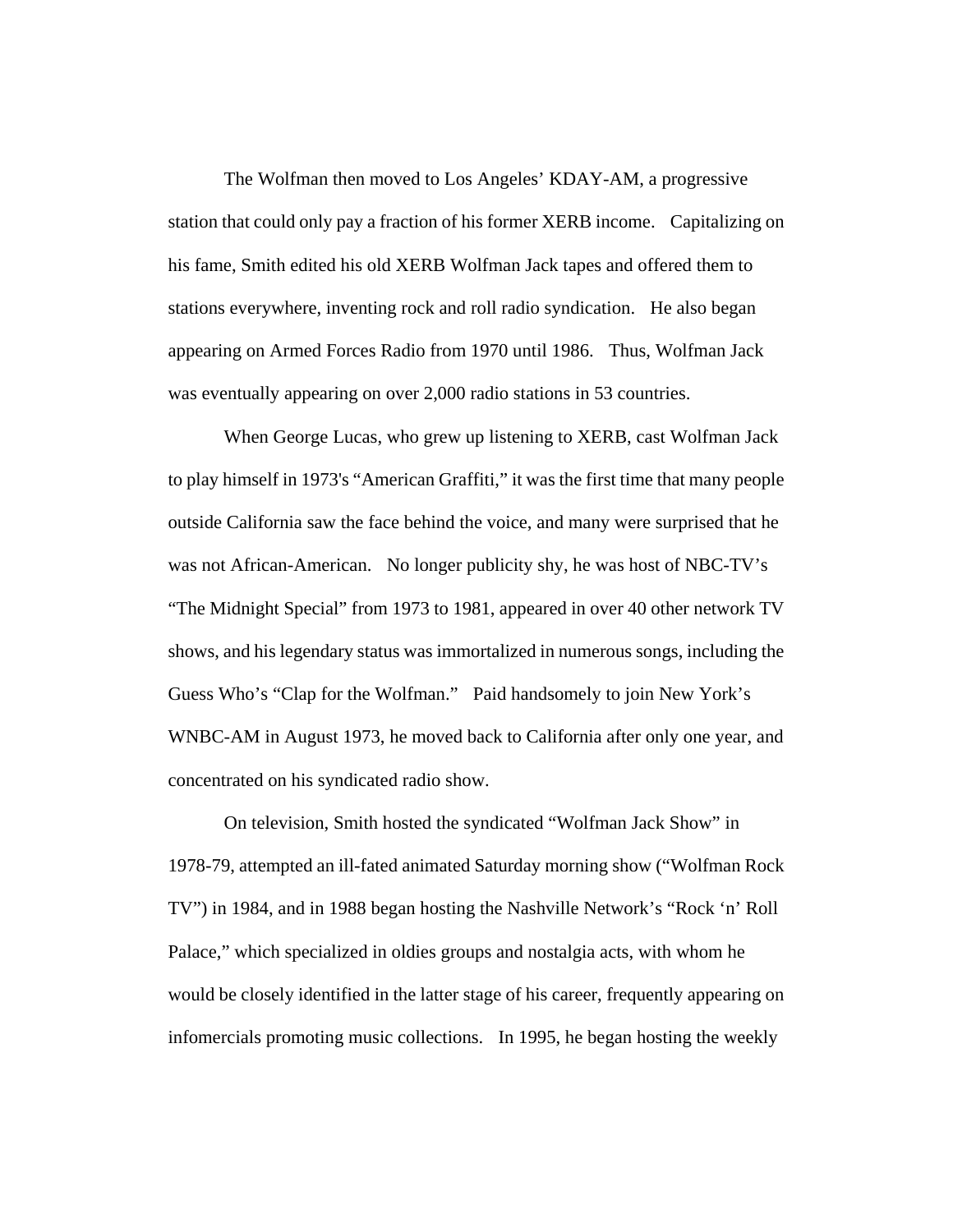The Wolfman then moved to Los Angeles' KDAY-AM, a progressive station that could only pay a fraction of his former XERB income. Capitalizing on his fame, Smith edited his old XERB Wolfman Jack tapes and offered them to stations everywhere, inventing rock and roll radio syndication. He also began appearing on Armed Forces Radio from 1970 until 1986. Thus, Wolfman Jack was eventually appearing on over 2,000 radio stations in 53 countries.

When George Lucas, who grew up listening to XERB, cast Wolfman Jack to play himself in 1973's "American Graffiti," it was the first time that many people outside California saw the face behind the voice, and many were surprised that he was not African-American. No longer publicity shy, he was host of NBC-TV's "The Midnight Special" from 1973 to 1981, appeared in over 40 other network TV shows, and his legendary status was immortalized in numerous songs, including the Guess Who's "Clap for the Wolfman." Paid handsomely to join New York's WNBC-AM in August 1973, he moved back to California after only one year, and concentrated on his syndicated radio show.

On television, Smith hosted the syndicated "Wolfman Jack Show" in 1978-79, attempted an ill-fated animated Saturday morning show ("Wolfman Rock TV") in 1984, and in 1988 began hosting the Nashville Network's "Rock 'n' Roll Palace," which specialized in oldies groups and nostalgia acts, with whom he would be closely identified in the latter stage of his career, frequently appearing on infomercials promoting music collections. In 1995, he began hosting the weekly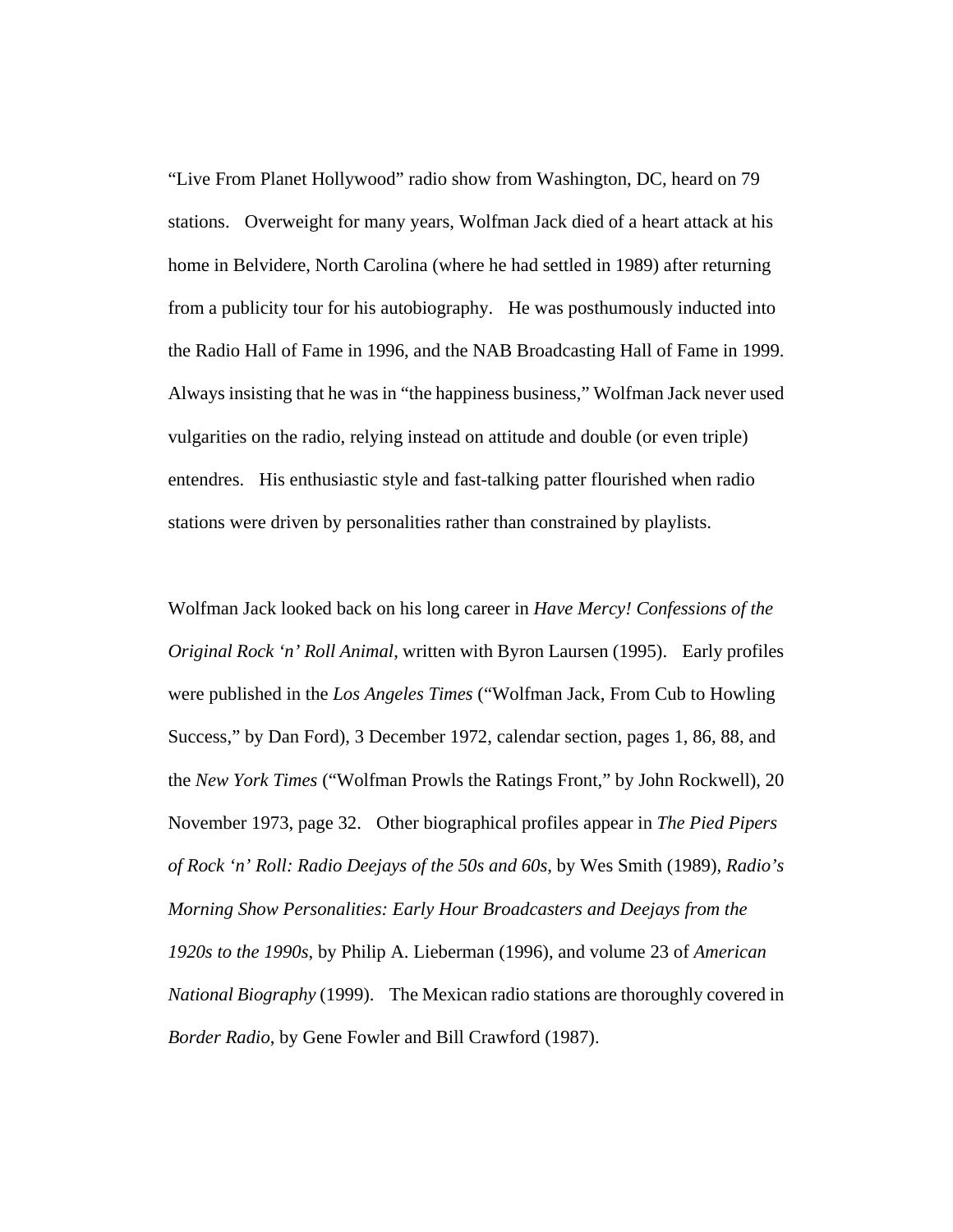"Live From Planet Hollywood" radio show from Washington, DC, heard on 79 stations. Overweight for many years, Wolfman Jack died of a heart attack at his home in Belvidere, North Carolina (where he had settled in 1989) after returning from a publicity tour for his autobiography. He was posthumously inducted into the Radio Hall of Fame in 1996, and the NAB Broadcasting Hall of Fame in 1999. Always insisting that he was in "the happiness business," Wolfman Jack never used vulgarities on the radio, relying instead on attitude and double (or even triple) entendres. His enthusiastic style and fast-talking patter flourished when radio stations were driven by personalities rather than constrained by playlists.

Wolfman Jack looked back on his long career in *Have Mercy! Confessions of the Original Rock 'n' Roll Animal*, written with Byron Laursen (1995). Early profiles were published in the *Los Angeles Times* ("Wolfman Jack, From Cub to Howling Success," by Dan Ford), 3 December 1972, calendar section, pages 1, 86, 88, and the *New York Times* ("Wolfman Prowls the Ratings Front," by John Rockwell), 20 November 1973, page 32. Other biographical profiles appear in *The Pied Pipers of Rock 'n' Roll: Radio Deejays of the 50s and 60s*, by Wes Smith (1989), *Radio's Morning Show Personalities: Early Hour Broadcasters and Deejays from the 1920s to the 1990s*, by Philip A. Lieberman (1996), and volume 23 of *American National Biography* (1999). The Mexican radio stations are thoroughly covered in *Border Radio*, by Gene Fowler and Bill Crawford (1987).